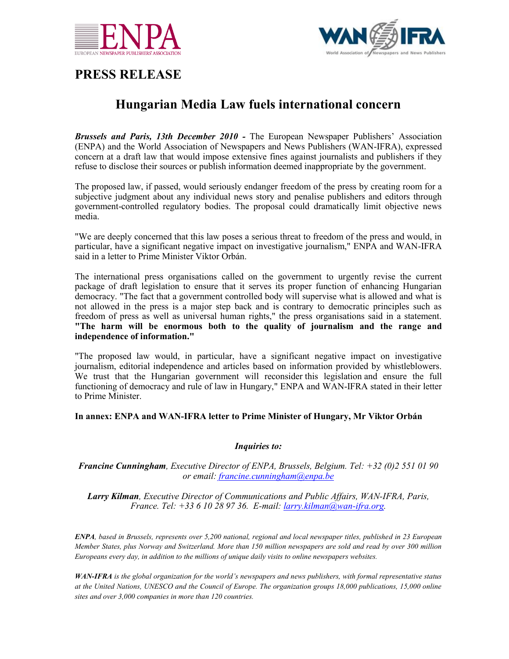



## **PRESS RELEASE**

# **Hungarian Media Law fuels international concern**

*Brussels and Paris, 13th December 2010 -* The European Newspaper Publishers' Association (ENPA) and the World Association of Newspapers and News Publishers (WAN-IFRA), expressed concern at a draft law that would impose extensive fines against journalists and publishers if they refuse to disclose their sources or publish information deemed inappropriate by the government.

The proposed law, if passed, would seriously endanger freedom of the press by creating room for a subjective judgment about any individual news story and penalise publishers and editors through government-controlled regulatory bodies. The proposal could dramatically limit objective news media.

"We are deeply concerned that this law poses a serious threat to freedom of the press and would, in particular, have a significant negative impact on investigative journalism," ENPA and WAN-IFRA said in a letter to Prime Minister Viktor Orbán.

The international press organisations called on the government to urgently revise the current package of draft legislation to ensure that it serves its proper function of enhancing Hungarian democracy. "The fact that a government controlled body will supervise what is allowed and what is not allowed in the press is a major step back and is contrary to democratic principles such as freedom of press as well as universal human rights," the press organisations said in a statement. **"The harm will be enormous both to the quality of journalism and the range and independence of information."**

"The proposed law would, in particular, have a significant negative impact on investigative journalism, editorial independence and articles based on information provided by whistleblowers. We trust that the Hungarian government will reconsider this legislation and ensure the full functioning of democracy and rule of law in Hungary," ENPA and WAN-IFRA stated in their letter to Prime Minister.

### **In annex: ENPA and WAN-IFRA letter to Prime Minister of Hungary, Mr Viktor Orbán**

### *Inquiries to:*

#### *Francine Cunningham, Executive Director of ENPA, Brussels, Belgium. Tel: +32 (0)2 551 01 90 or email: [francine.cunningham@enpa.be](mailto:francine.cunningham@enpa.be)*

*Larry Kilman, Executive Director of Communications and Public Affairs, WAN-IFRA, Paris, France. Tel: +33 6 10 28 97 36. E-mail: [larry.kilman@wan-ifra.org.](mailto:larry.kilman@wan-ifra.org)*

*ENPA, based in Brussels, represents over 5,200 national, regional and local newspaper titles, published in 23 European Member States, plus Norway and Switzerland. More than 150 million newspapers are sold and read by over 300 million Europeans every day, in addition to the millions of unique daily visits to online newspapers websites.*

*WAN-IFRA is the global organization for the world's newspapers and news publishers, with formal representative status at the United Nations, UNESCO and the Council of Europe. The organization groups 18,000 publications, 15,000 online sites and over 3,000 companies in more than 120 countries.*